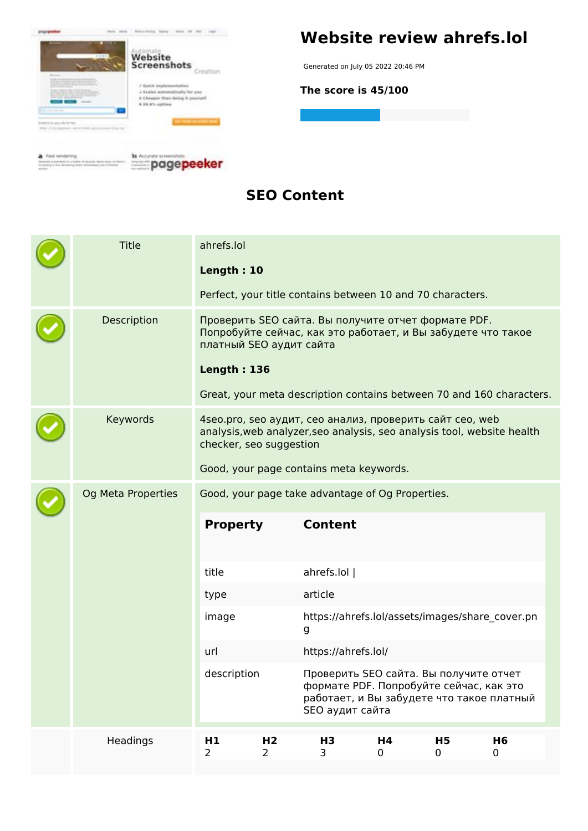

#### **SEO Content**

|  | <b>Title</b>       | ahrefs.lol<br>Length: 10<br>Perfect, your title contains between 10 and 70 characters. |                                                                                                                                                                                                                                              |                                                                                                      |         |                     |                                                                                                                                |  |
|--|--------------------|----------------------------------------------------------------------------------------|----------------------------------------------------------------------------------------------------------------------------------------------------------------------------------------------------------------------------------------------|------------------------------------------------------------------------------------------------------|---------|---------------------|--------------------------------------------------------------------------------------------------------------------------------|--|
|  | Description        |                                                                                        | Проверить SEO сайта. Вы получите отчет формате PDF.<br>Попробуйте сейчас, как это работает, и Вы забудете что такое<br>платный SEO аудит сайта<br><b>Length: 136</b><br>Great, your meta description contains between 70 and 160 characters. |                                                                                                      |         |                     |                                                                                                                                |  |
|  | Keywords           | checker, seo suggestion                                                                |                                                                                                                                                                                                                                              | 4 seo.pro, seo аудит, сео анализ, проверить сайт сео, web<br>Good, your page contains meta keywords. |         |                     | analysis, web analyzer, seo analysis, seo analysis tool, website health                                                        |  |
|  | Og Meta Properties | Good, your page take advantage of Og Properties.                                       |                                                                                                                                                                                                                                              |                                                                                                      |         |                     |                                                                                                                                |  |
|  |                    | <b>Property</b>                                                                        |                                                                                                                                                                                                                                              | <b>Content</b>                                                                                       |         |                     |                                                                                                                                |  |
|  |                    | title                                                                                  |                                                                                                                                                                                                                                              | ahrefs.lol                                                                                           |         |                     |                                                                                                                                |  |
|  |                    | type                                                                                   |                                                                                                                                                                                                                                              | article                                                                                              |         |                     |                                                                                                                                |  |
|  |                    | image                                                                                  |                                                                                                                                                                                                                                              | g                                                                                                    |         |                     | https://ahrefs.lol/assets/images/share cover.pn                                                                                |  |
|  |                    | url                                                                                    |                                                                                                                                                                                                                                              | https://ahrefs.lol/                                                                                  |         |                     |                                                                                                                                |  |
|  |                    | description                                                                            |                                                                                                                                                                                                                                              | SEO аудит сайта                                                                                      |         |                     | Проверить SEO сайта. Вы получите отчет<br>формате PDF. Попробуйте сейчас, как это<br>работает, и Вы забудете что такое платный |  |
|  | Headings           | H1<br>$\overline{2}$                                                                   | H <sub>2</sub><br>$\overline{2}$                                                                                                                                                                                                             | H <sub>3</sub><br>3                                                                                  | H4<br>0 | H <sub>5</sub><br>0 | H <sub>6</sub><br>$\mathbf 0$                                                                                                  |  |
|  |                    |                                                                                        |                                                                                                                                                                                                                                              |                                                                                                      |         |                     |                                                                                                                                |  |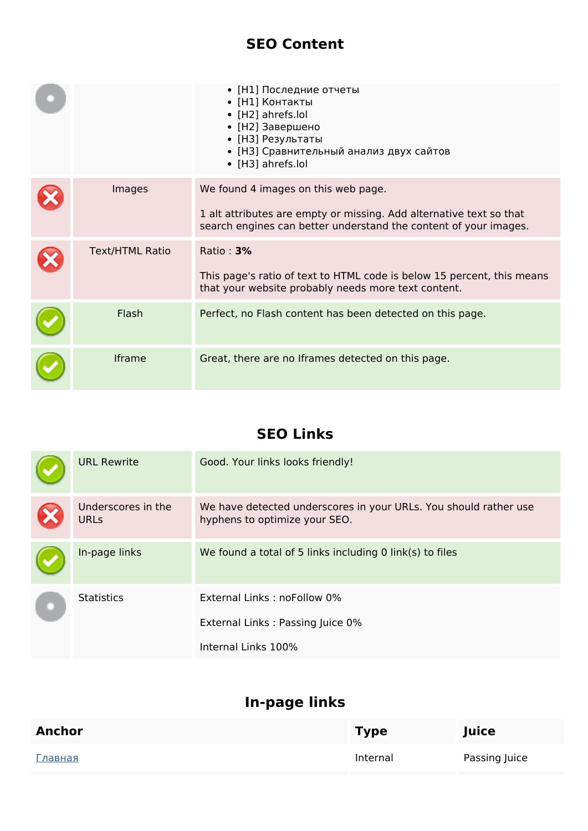#### **SEO Content**

|                        | • [Н1] Последние отчеты<br>• [Н1] Контакты<br>• [H2] ahrefs.lol<br>• [Н2] Завершено<br>• [НЗ] Результаты<br>• [НЗ] Сравнительный анализ двух сайтов<br>• [H3] ahrefs.lol       |
|------------------------|--------------------------------------------------------------------------------------------------------------------------------------------------------------------------------|
| Images                 | We found 4 images on this web page.<br>1 alt attributes are empty or missing. Add alternative text so that<br>search engines can better understand the content of your images. |
| <b>Text/HTML Ratio</b> | Ratio: $3%$<br>This page's ratio of text to HTML code is below 15 percent, this means<br>that your website probably needs more text content.                                   |
| Flash                  | Perfect, no Flash content has been detected on this page.                                                                                                                      |
| <b>Iframe</b>          | Great, there are no Iframes detected on this page.                                                                                                                             |

## **SEO Links**

| <b>URL Rewrite</b>                | Good. Your links looks friendly!                                                                  |
|-----------------------------------|---------------------------------------------------------------------------------------------------|
| Underscores in the<br><b>URLs</b> | We have detected underscores in your URLs. You should rather use<br>hyphens to optimize your SEO. |
| In-page links                     | We found a total of 5 links including 0 link(s) to files                                          |
| <b>Statistics</b>                 | External Links: noFollow 0%<br>External Links: Passing Juice 0%<br>Internal Links 100%            |

## **In-page links**

| <b>Anchor</b>  | <b>Type</b> | Juice         |
|----------------|-------------|---------------|
| <u>Главная</u> | Internal    | Passing Juice |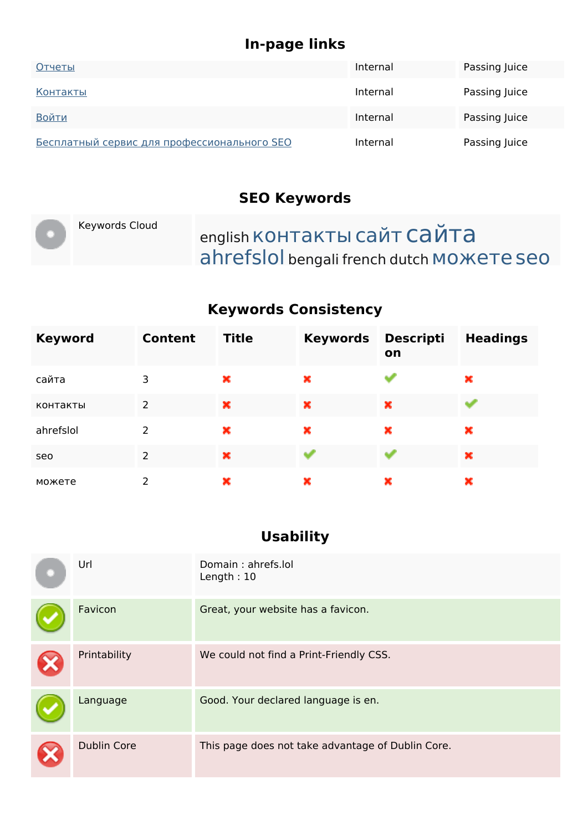## **In-page links**

| Отчеты                                             | Internal | Passing Juice |
|----------------------------------------------------|----------|---------------|
| Контакты                                           | Internal | Passing Juice |
| Войти                                              | Internal | Passing Juice |
| <b>Бесплатный сервис для профессионального SEO</b> | Internal | Passing Juice |

## **SEO Keywords**

|  | Keywords Cloud | english КОНТАКТЫ САЙТ САЙТА               |
|--|----------------|-------------------------------------------|
|  |                | ahrefslol bengali french dutch MOWETE SEO |

## **Keywords Consistency**

| <b>Keyword</b> | <b>Content</b> | <b>Title</b> | <b>Keywords</b> | <b>Descripti</b><br>on | <b>Headings</b> |
|----------------|----------------|--------------|-----------------|------------------------|-----------------|
| сайта          | 3              | ×            | ×               |                        | ×               |
| контакты       | 2              | ×            | ×               | ×                      |                 |
| ahrefslol      | $\mathcal{P}$  | ×            | ×               | ×                      | ×               |
| seo            | $\overline{2}$ | ×            |                 |                        | ×               |
| можете         | 2              | ×            | ×               | ×                      | ×               |

## **Usability**

| Url                | Domain: ahrefs.lol<br>Length: $10$                |
|--------------------|---------------------------------------------------|
| Favicon            | Great, your website has a favicon.                |
| Printability       | We could not find a Print-Friendly CSS.           |
| Language           | Good. Your declared language is en.               |
| <b>Dublin Core</b> | This page does not take advantage of Dublin Core. |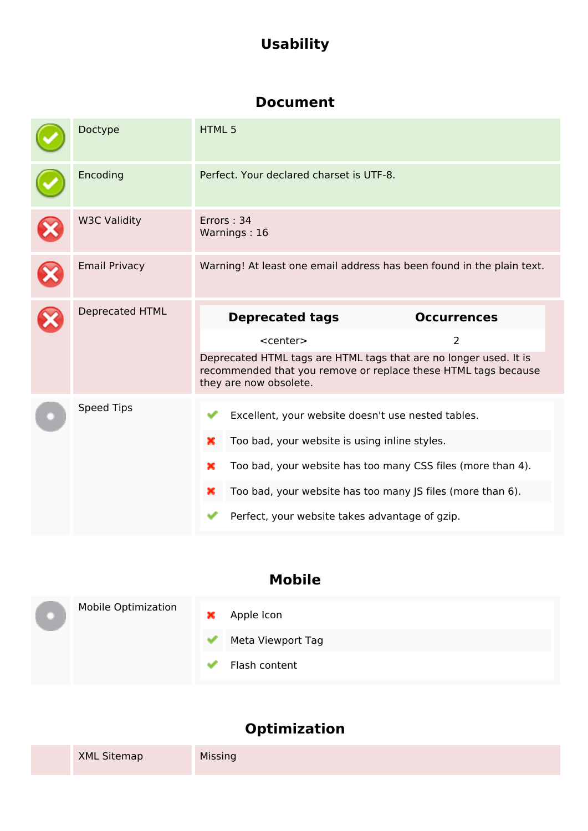# **Usability**

#### **Document**

|   | Doctype                | <b>HTML5</b>                                                                                                                                                  |                                                             |
|---|------------------------|---------------------------------------------------------------------------------------------------------------------------------------------------------------|-------------------------------------------------------------|
|   | Encoding               | Perfect. Your declared charset is UTF-8.                                                                                                                      |                                                             |
|   | <b>W3C Validity</b>    | Errors: 34<br>Warnings: 16                                                                                                                                    |                                                             |
| X | <b>Email Privacy</b>   | Warning! At least one email address has been found in the plain text.                                                                                         |                                                             |
|   | <b>Deprecated HTML</b> | <b>Deprecated tags</b>                                                                                                                                        | <b>Occurrences</b>                                          |
|   |                        | $<$ center $>$                                                                                                                                                | 2                                                           |
|   |                        | Deprecated HTML tags are HTML tags that are no longer used. It is<br>recommended that you remove or replace these HTML tags because<br>they are now obsolete. |                                                             |
|   | <b>Speed Tips</b>      | Excellent, your website doesn't use nested tables.                                                                                                            |                                                             |
|   |                        | Too bad, your website is using inline styles.<br>×                                                                                                            |                                                             |
|   |                        | ×                                                                                                                                                             | Too bad, your website has too many CSS files (more than 4). |
|   |                        |                                                                                                                                                               |                                                             |
|   |                        | ×                                                                                                                                                             | Too bad, your website has too many JS files (more than 6).  |

## **Mobile**

| ш | Mobile Optimization | × | Apple Icon        |
|---|---------------------|---|-------------------|
|   |                     | ✔ | Meta Viewport Tag |
|   |                     | v | Flash content     |

# **Optimization**

| <b>XML Sitemap</b> | Missing |
|--------------------|---------|